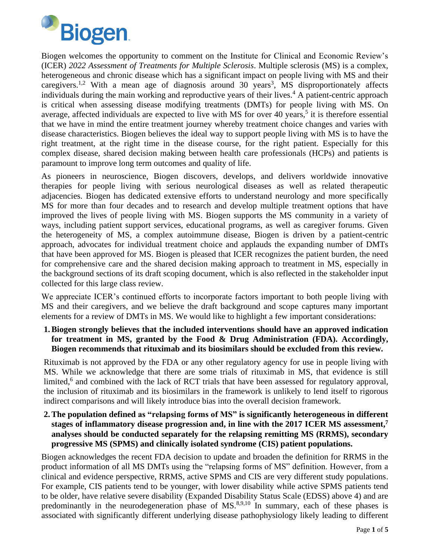

Biogen welcomes the opportunity to comment on the Institute for Clinical and Economic Review's (ICER) *2022 Assessment of Treatments for Multiple Sclerosis*. Multiple sclerosis (MS) is a complex, heterogeneous and chronic disease which has a significant impact on people living with MS and their caregivers.<sup>1,2</sup> With a mean age of diagnosis around 30 years<sup>3</sup>, MS disproportionately affects individuals during the main working and reproductive years of their lives. <sup>4</sup> A patient-centric approach is critical when assessing disease modifying treatments (DMTs) for people living with MS. On average, affected individuals are expected to live with MS for over 40 years,<sup>5</sup> it is therefore essential that we have in mind the entire treatment journey whereby treatment choice changes and varies with disease characteristics. Biogen believes the ideal way to support people living with MS is to have the right treatment, at the right time in the disease course, for the right patient. Especially for this complex disease, shared decision making between health care professionals (HCPs) and patients is paramount to improve long term outcomes and quality of life.

As pioneers in neuroscience, Biogen discovers, develops, and delivers worldwide innovative therapies for people living with serious neurological diseases as well as related therapeutic adjacencies. Biogen has dedicated extensive efforts to understand neurology and more specifically MS for more than four decades and to research and develop multiple treatment options that have improved the lives of people living with MS. Biogen supports the MS community in a variety of ways, including patient support services, educational programs, as well as caregiver forums. Given the heterogeneity of MS, a complex autoimmune disease, Biogen is driven by a patient-centric approach, advocates for individual treatment choice and applauds the expanding number of DMTs that have been approved for MS. Biogen is pleased that ICER recognizes the patient burden, the need for comprehensive care and the shared decision making approach to treatment in MS, especially in the background sections of its draft scoping document, which is also reflected in the stakeholder input collected for this large class review.

We appreciate ICER's continued efforts to incorporate factors important to both people living with MS and their caregivers, and we believe the draft background and scope captures many important elements for a review of DMTs in MS. We would like to highlight a few important considerations:

#### **1.Biogen strongly believes that the included interventions should have an approved indication for treatment in MS, granted by the Food & Drug Administration (FDA). Accordingly, Biogen recommends that rituximab and its biosimilars should be excluded from this review.**

Rituximab is not approved by the FDA or any other regulatory agency for use in people living with MS. While we acknowledge that there are some trials of rituximab in MS, that evidence is still limited,<sup>6</sup> and combined with the lack of RCT trials that have been assessed for regulatory approval, the inclusion of rituximab and its biosimilars in the framework is unlikely to lend itself to rigorous indirect comparisons and will likely introduce bias into the overall decision framework.

#### **2.The population defined as "relapsing forms of MS" is significantly heterogeneous in different stages of inflammatory disease progression and, in line with the 2017 ICER MS assessment, 7 analyses should be conducted separately for the relapsing remitting MS (RRMS), secondary progressive MS (SPMS) and clinically isolated syndrome (CIS) patient populations.**

Biogen acknowledges the recent FDA decision to update and broaden the definition for RRMS in the product information of all MS DMTs using the "relapsing forms of MS" definition. However, from a clinical and evidence perspective, RRMS, active SPMS and CIS are very different study populations. For example, CIS patients tend to be younger, with lower disability while active SPMS patients tend to be older, have relative severe disability (Expanded Disability Status Scale (EDSS) above 4) and are predominantly in the neurodegeneration phase of  $MS<sup>8,9,10</sup>$  In summary, each of these phases is associated with significantly different underlying disease pathophysiology likely leading to different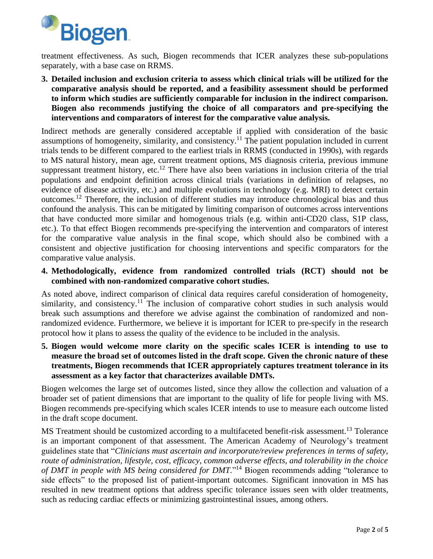

treatment effectiveness. As such, Biogen recommends that ICER analyzes these sub-populations separately, with a base case on RRMS.

**3. Detailed inclusion and exclusion criteria to assess which clinical trials will be utilized for the comparative analysis should be reported, and a feasibility assessment should be performed to inform which studies are sufficiently comparable for inclusion in the indirect comparison. Biogen also recommends justifying the choice of all comparators and pre-specifying the interventions and comparators of interest for the comparative value analysis.**

Indirect methods are generally considered acceptable if applied with consideration of the basic assumptions of homogeneity, similarity, and consistency.<sup>11</sup> The patient population included in current trials tends to be different compared to the earliest trials in RRMS (conducted in 1990s), with regards to MS natural history, mean age, current treatment options, MS diagnosis criteria, previous immune suppressant treatment history, etc.<sup>12</sup> There have also been variations in inclusion criteria of the trial populations and endpoint definition across clinical trials (variations in definition of relapses, no evidence of disease activity, etc.) and multiple evolutions in technology (e.g. MRI) to detect certain outcomes.<sup>12</sup> Therefore, the inclusion of different studies may introduce chronological bias and thus confound the analysis. This can be mitigated by limiting comparison of outcomes across interventions that have conducted more similar and homogenous trials (e.g. within anti-CD20 class, S1P class, etc.). To that effect Biogen recommends pre-specifying the intervention and comparators of interest for the comparative value analysis in the final scope, which should also be combined with a consistent and objective justification for choosing interventions and specific comparators for the comparative value analysis.

**4. Methodologically, evidence from randomized controlled trials (RCT) should not be combined with non-randomized comparative cohort studies.**

As noted above, indirect comparison of clinical data requires careful consideration of homogeneity, similarity, and consistency.<sup>11</sup> The inclusion of comparative cohort studies in such analysis would break such assumptions and therefore we advise against the combination of randomized and nonrandomized evidence. Furthermore, we believe it is important for ICER to pre-specify in the research protocol how it plans to assess the quality of the evidence to be included in the analysis.

**5. Biogen would welcome more clarity on the specific scales ICER is intending to use to measure the broad set of outcomes listed in the draft scope. Given the chronic nature of these treatments, Biogen recommends that ICER appropriately captures treatment tolerance in its assessment as a key factor that characterizes available DMTs.**

Biogen welcomes the large set of outcomes listed, since they allow the collection and valuation of a broader set of patient dimensions that are important to the quality of life for people living with MS. Biogen recommends pre-specifying which scales ICER intends to use to measure each outcome listed in the draft scope document.

MS Treatment should be customized according to a multifaceted benefit-risk assessment.<sup>13</sup> Tolerance is an important component of that assessment. The American Academy of Neurology's treatment guidelines state that "*Clinicians must ascertain and incorporate/review preferences in terms of safety, route of administration, lifestyle, cost, efficacy, common adverse effects, and tolerability in the choice of DMT in people with MS being considered for DMT.*" <sup>14</sup> Biogen recommends adding "tolerance to side effects" to the proposed list of patient-important outcomes. Significant innovation in MS has resulted in new treatment options that address specific tolerance issues seen with older treatments, such as reducing cardiac effects or minimizing gastrointestinal issues, among others.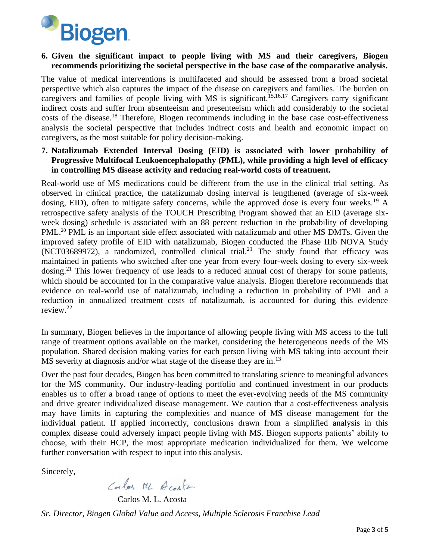

#### **6. Given the significant impact to people living with MS and their caregivers, Biogen recommends prioritizing the societal perspective in the base case of the comparative analysis.**

The value of medical interventions is multifaceted and should be assessed from a broad societal perspective which also captures the impact of the disease on caregivers and families. The burden on caregivers and families of people living with MS is significant. 15,16,17 Caregivers carry significant indirect costs and suffer from absenteeism and presenteeism which add considerably to the societal costs of the disease.<sup>18</sup> Therefore, Biogen recommends including in the base case cost-effectiveness analysis the societal perspective that includes indirect costs and health and economic impact on caregivers, as the most suitable for policy decision-making.

#### **7. Natalizumab Extended Interval Dosing (EID) is associated with lower probability of Progressive Multifocal Leukoencephalopathy (PML), while providing a high level of efficacy in controlling MS disease activity and reducing real-world costs of treatment.**

Real-world use of MS medications could be different from the use in the clinical trial setting. As observed in clinical practice, the natalizumab dosing interval is lengthened (average of six-week dosing, EID), often to mitigate safety concerns, while the approved dose is every four weeks.<sup>19</sup> A retrospective safety analysis of the TOUCH Prescribing Program showed that an EID (average sixweek dosing) schedule is associated with an 88 percent reduction in the probability of developing PML.<sup>20</sup> PML is an important side effect associated with natalizumab and other MS DMTs. Given the improved safety profile of EID with natalizumab, Biogen conducted the Phase IIIb NOVA Study (NCT03689972), a randomized, controlled clinical trial. <sup>21</sup> The study found that efficacy was maintained in patients who switched after one year from every four-week dosing to every six-week dosing.<sup>21</sup> This lower frequency of use leads to a reduced annual cost of therapy for some patients, which should be accounted for in the comparative value analysis. Biogen therefore recommends that evidence on real-world use of natalizumab, including a reduction in probability of PML and a reduction in annualized treatment costs of natalizumab, is accounted for during this evidence review.<sup>22</sup>

In summary, Biogen believes in the importance of allowing people living with MS access to the full range of treatment options available on the market, considering the heterogeneous needs of the MS population. Shared decision making varies for each person living with MS taking into account their MS severity at diagnosis and/or what stage of the disease they are in.<sup>13</sup>

Over the past four decades, Biogen has been committed to translating science to meaningful advances for the MS community. Our industry-leading portfolio and continued investment in our products enables us to offer a broad range of options to meet the ever-evolving needs of the MS community and drive greater individualized disease management. We caution that a cost-effectiveness analysis may have limits in capturing the complexities and nuance of MS disease management for the individual patient. If applied incorrectly, conclusions drawn from a simplified analysis in this complex disease could adversely impact people living with MS. Biogen supports patients' ability to choose, with their HCP, the most appropriate medication individualized for them. We welcome further conversation with respect to input into this analysis.

Sincerely,

Corles ML Acaster

Carlos M. L. Acosta *Sr. Director, Biogen Global Value and Access, Multiple Sclerosis Franchise Lead*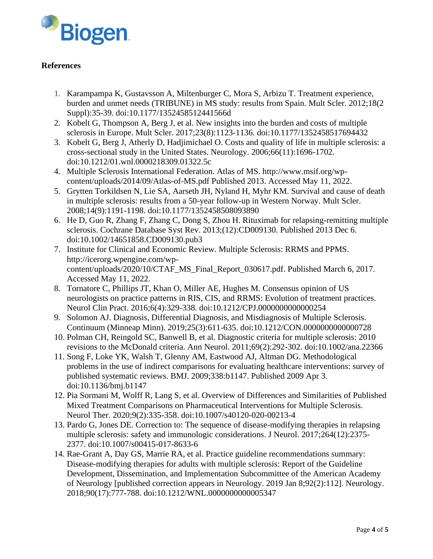

#### **References**

- 1. Karampampa K, Gustavsson A, Miltenburger C, Mora S, Arbizu T. Treatment experience, burden and unmet needs (TRIBUNE) in MS study: results from Spain. Mult Scler. 2012;18(2 Suppl):35-39. doi:10.1177/1352458512441566d
- 2. Kobelt G, Thompson A, Berg J, et al. New insights into the burden and costs of multiple sclerosis in Europe. Mult Scler. 2017;23(8):1123-1136. doi:10.1177/1352458517694432
- 3. Kobelt G, Berg J, Atherly D, Hadjimichael O. Costs and quality of life in multiple sclerosis: a cross-sectional study in the United States. Neurology. 2006;66(11):1696-1702. doi:10.1212/01.wnl.0000218309.01322.5c
- 4. Multiple Sclerosis International Federation. Atlas of MS. http://www.msif.org/wpcontent/uploads/2014/09/Atlas-of-MS.pdf Published 2013. Accessed May 11, 2022.
- 5. Grytten Torkildsen N, Lie SA, Aarseth JH, Nyland H, Myhr KM. Survival and cause of death in multiple sclerosis: results from a 50-year follow-up in Western Norway. Mult Scler. 2008;14(9):1191-1198. doi:10.1177/1352458508093890
- 6. He D, Guo R, Zhang F, Zhang C, Dong S, Zhou H. Rituximab for relapsing-remitting multiple sclerosis. Cochrane Database Syst Rev. 2013;(12):CD009130. Published 2013 Dec 6. doi:10.1002/14651858.CD009130.pub3
- 7. Institute for Clinical and Economic Review. Multiple Sclerosis: RRMS and PPMS. http://icerorg.wpengine.com/wpcontent/uploads/2020/10/CTAF MS Final Report 030617.pdf. Published March 6, 2017. Accessed May 11, 2022.
- 8. Tornatore C, Phillips JT, Khan O, Miller AE, Hughes M. Consensus opinion of US neurologists on practice patterns in RIS, CIS, and RRMS: Evolution of treatment practices. Neurol Clin Pract. 2016;6(4):329-338. doi:10.1212/CPJ.0000000000000254
- 9. Solomon AJ. Diagnosis, Differential Diagnosis, and Misdiagnosis of Multiple Sclerosis. Continuum (Minneap Minn). 2019;25(3):611-635. doi:10.1212/CON.0000000000000728
- 10. Polman CH, Reingold SC, Banwell B, et al. Diagnostic criteria for multiple sclerosis: 2010 revisions to the McDonald criteria. Ann Neurol. 2011;69(2):292-302. doi:10.1002/ana.22366
- 11. Song F, Loke YK, Walsh T, Glenny AM, Eastwood AJ, Altman DG. Methodological problems in the use of indirect comparisons for evaluating healthcare interventions: survey of published systematic reviews. BMJ. 2009;338:b1147. Published 2009 Apr 3. doi:10.1136/bmj.b1147
- 12. Pia Sormani M, Wolff R, Lang S, et al. Overview of Differences and Similarities of Published Mixed Treatment Comparisons on Pharmaceutical Interventions for Multiple Sclerosis. Neurol Ther. 2020;9(2):335-358. doi:10.1007/s40120-020-00213-4
- 13. Pardo G, Jones DE. Correction to: The sequence of disease-modifying therapies in relapsing multiple sclerosis: safety and immunologic considerations. J Neurol. 2017;264(12):2375- 2377. doi:10.1007/s00415-017-8633-6
- 14. Rae-Grant A, Day GS, Marrie RA, et al. Practice guideline recommendations summary: Disease-modifying therapies for adults with multiple sclerosis: Report of the Guideline Development, Dissemination, and Implementation Subcommittee of the American Academy of Neurology [published correction appears in Neurology. 2019 Jan 8;92(2):112]. Neurology. 2018;90(17):777-788. doi:10.1212/WNL.0000000000005347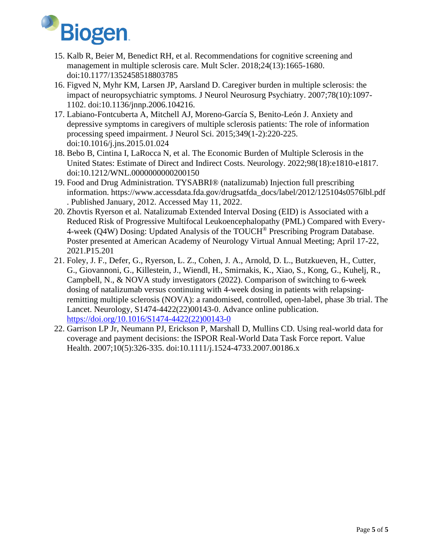

- 15. Kalb R, Beier M, Benedict RH, et al. Recommendations for cognitive screening and management in multiple sclerosis care. Mult Scler. 2018;24(13):1665-1680. doi:10.1177/1352458518803785
- 16. Figved N, Myhr KM, Larsen JP, Aarsland D. Caregiver burden in multiple sclerosis: the impact of neuropsychiatric symptoms. J Neurol Neurosurg Psychiatry. 2007;78(10):1097-1102. doi:10.1136/jnnp.2006.104216.
- 17. Labiano-Fontcuberta A, Mitchell AJ, Moreno-García S, Benito-León J. Anxiety and depressive symptoms in caregivers of multiple sclerosis patients: The role of information processing speed impairment. J Neurol Sci. 2015;349(1-2):220-225. doi:10.1016/j.jns.2015.01.024
- 18. Bebo B, Cintina I, LaRocca N, et al. The Economic Burden of Multiple Sclerosis in the United States: Estimate of Direct and Indirect Costs. Neurology. 2022;98(18):e1810-e1817. doi:10.1212/WNL.0000000000200150
- 19. Food and Drug Administration. TYSABRI® (natalizumab) Injection full prescribing information. https://www.accessdata.fda.gov/drugsatfda\_docs/label/2012/125104s0576lbl.pdf . Published January, 2012. Accessed May 11, 2022.
- 20. Zhovtis Ryerson et al. Natalizumab Extended Interval Dosing (EID) is Associated with a Reduced Risk of Progressive Multifocal Leukoencephalopathy (PML) Compared with Every-4-week (Q4W) Dosing: Updated Analysis of the TOUCH® Prescribing Program Database. Poster presented at American Academy of Neurology Virtual Annual Meeting; April 17-22, 2021.P15.201
- 21. Foley, J. F., Defer, G., Ryerson, L. Z., Cohen, J. A., Arnold, D. L., Butzkueven, H., Cutter, G., Giovannoni, G., Killestein, J., Wiendl, H., Smirnakis, K., Xiao, S., Kong, G., Kuhelj, R., Campbell, N., & NOVA study investigators (2022). Comparison of switching to 6-week dosing of natalizumab versus continuing with 4-week dosing in patients with relapsingremitting multiple sclerosis (NOVA): a randomised, controlled, open-label, phase 3b trial. The Lancet. Neurology, S1474-4422(22)00143-0. Advance online publication. [https://doi.org/10.1016/S1474-4422\(22\)00143-0](https://doi.org/10.1016/S1474-4422(22)00143-0)
- 22. Garrison LP Jr, Neumann PJ, Erickson P, Marshall D, Mullins CD. Using real-world data for coverage and payment decisions: the ISPOR Real-World Data Task Force report. Value Health. 2007;10(5):326-335. doi:10.1111/j.1524-4733.2007.00186.x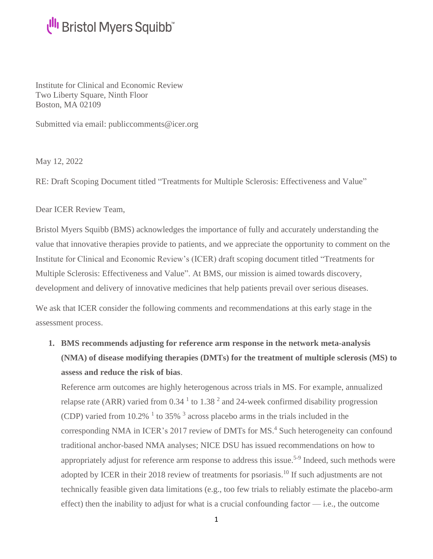Institute for Clinical and Economic Review Two Liberty Square, Ninth Floor Boston, MA 02109

Submitted via email: [publiccomments@icer.org](mailto:publiccomments@icer.org)

May 12, 2022

RE: Draft Scoping Document titled "Treatments for Multiple Sclerosis: Effectiveness and Value"

Dear ICER Review Team,

Bristol Myers Squibb (BMS) acknowledges the importance of fully and accurately understanding the value that innovative therapies provide to patients, and we appreciate the opportunity to comment on the Institute for Clinical and Economic Review's (ICER) draft scoping document titled "Treatments for Multiple Sclerosis: Effectiveness and Value". At BMS, our mission is aimed towards discovery, development and delivery of innovative medicines that help patients prevail over serious diseases.

We ask that ICER consider the following comments and recommendations at this early stage in the assessment process.

**1. BMS recommends adjusting for reference arm response in the network meta-analysis (NMA) of disease modifying therapies (DMTs) for the treatment of multiple sclerosis (MS) to assess and reduce the risk of bias**.

Reference arm outcomes are highly heterogenous across trials in MS. For example, annualized relapse rate (ARR) varied from  $0.34<sup>1</sup>$  to  $1.38<sup>2</sup>$  and 24-week confirmed disability progression (CDP) varied from 10.2%  $<sup>1</sup>$  to 35%  $<sup>3</sup>$  across placebo arms in the trials included in the</sup></sup> corresponding NMA in ICER's 2017 review of DMTs for MS. <sup>4</sup> Such heterogeneity can confound traditional anchor-based NMA analyses; NICE DSU has issued recommendations on how to appropriately adjust for reference arm response to address this issue.<sup>5-9</sup> Indeed, such methods were adopted by ICER in their 2018 review of treatments for psoriasis.<sup>10</sup> If such adjustments are not technically feasible given data limitations (e.g., too few trials to reliably estimate the placebo-arm effect) then the inability to adjust for what is a crucial confounding factor — i.e., the outcome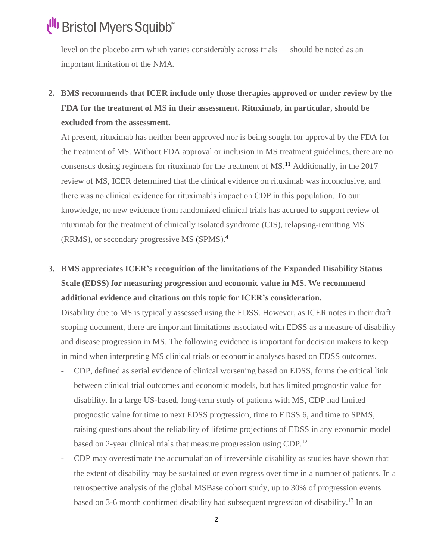level on the placebo arm which varies considerably across trials — should be noted as an important limitation of the NMA.

**2. BMS recommends that ICER include only those therapies approved or under review by the FDA for the treatment of MS in their assessment. Rituximab, in particular, should be excluded from the assessment.**

At present, rituximab has neither been approved nor is being sought for approval by the FDA for the treatment of MS. Without FDA approval or inclusion in MS treatment guidelines, there are no consensus dosing regimens for rituximab for the treatment of MS. <sup>11</sup> Additionally, in the 2017 review of MS, ICER determined that the clinical evidence on rituximab was inconclusive, and there was no clinical evidence for rituximab's impact on CDP in this population. To our knowledge, no new evidence from randomized clinical trials has accrued to support review of rituximab for the treatment of clinically isolated syndrome (CIS), relapsing-remitting MS (RRMS), or secondary progressive MS (SPMS). 4

**3. BMS appreciates ICER's recognition of the limitations of the Expanded Disability Status Scale (EDSS) for measuring progression and economic value in MS. We recommend additional evidence and citations on this topic for ICER's consideration.**

Disability due to MS is typically assessed using the EDSS. However, as ICER notes in their draft scoping document, there are important limitations associated with EDSS as a measure of disability and disease progression in MS. The following evidence is important for decision makers to keep in mind when interpreting MS clinical trials or economic analyses based on EDSS outcomes.

- CDP, defined as serial evidence of clinical worsening based on EDSS, forms the critical link between clinical trial outcomes and economic models, but has limited prognostic value for disability. In a large US-based, long-term study of patients with MS, CDP had limited prognostic value for time to next EDSS progression, time to EDSS 6, and time to SPMS, raising questions about the reliability of lifetime projections of EDSS in any economic model based on 2-year clinical trials that measure progression using CDP.<sup>12</sup>
- CDP may overestimate the accumulation of irreversible disability as studies have shown that the extent of disability may be sustained or even regress over time in a number of patients. In a retrospective analysis of the global MSBase cohort study, up to 30% of progression events based on 3-6 month confirmed disability had subsequent regression of disability.<sup>13</sup> In an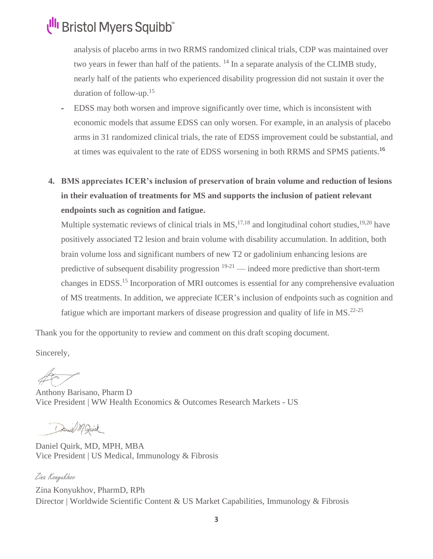analysis of placebo arms in two RRMS randomized clinical trials, CDP was maintained over two years in fewer than half of the patients.  $14$  In a separate analysis of the CLIMB study, nearly half of the patients who experienced disability progression did not sustain it over the duration of follow-up. 15

- EDSS may both worsen and improve significantly over time, which is inconsistent with economic models that assume EDSS can only worsen. For example, in an analysis of placebo arms in 31 randomized clinical trials, the rate of EDSS improvement could be substantial, and at times was equivalent to the rate of EDSS worsening in both RRMS and SPMS patients.<sup>16</sup>
- **4. BMS appreciates ICER's inclusion of preservation of brain volume and reduction of lesions in their evaluation of treatments for MS and supports the inclusion of patient relevant endpoints such as cognition and fatigue.**

Multiple systematic reviews of clinical trials in  $MS$ ,  $^{17,18}$  and longitudinal cohort studies,  $^{19,20}$  have positively associated T2 lesion and brain volume with disability accumulation. In addition, both brain volume loss and significant numbers of new T2 or gadolinium enhancing lesions are predictive of subsequent disability progression  $19-21$  — indeed more predictive than short-term changes in EDSS. <sup>15</sup> Incorporation of MRI outcomes is essential for any comprehensive evaluation of MS treatments. In addition, we appreciate ICER's inclusion of endpoints such as cognition and fatigue which are important markers of disease progression and quality of life in MS.<sup>22-25</sup>

Thank you for the opportunity to review and comment on this draft scoping document.

Sincerely,

Anthony Barisano, Pharm D Vice President | WW Health Economics & Outcomes Research Markets - US

Daniel M. Quirk

Daniel Quirk, MD, MPH, MBA Vice President | US Medical, Immunology & Fibrosis

Zina Konyukhov Zina Konyukhov, PharmD, RPh Director | Worldwide Scientific Content & US Market Capabilities, Immunology & Fibrosis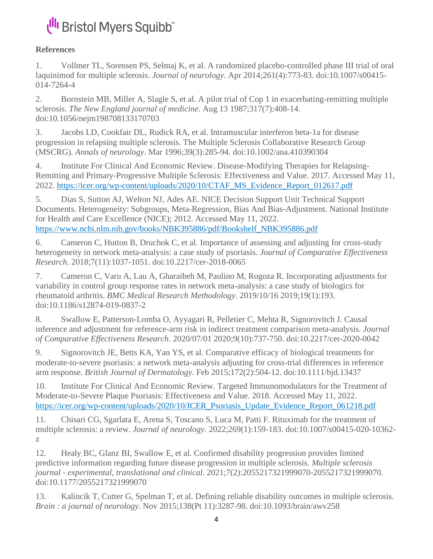#### **References**

1. Vollmer TL, Sorensen PS, Selmaj K, et al. A randomized placebo-controlled phase III trial of oral laquinimod for multiple sclerosis. *Journal of neurology*. Apr 2014;261(4):773-83. doi:10.1007/s00415- 014-7264-4

2. Bornstein MB, Miller A, Slagle S, et al. A pilot trial of Cop 1 in exacerbating-remitting multiple sclerosis. *The New England journal of medicine*. Aug 13 1987;317(7):408-14. doi:10.1056/nejm198708133170703

3. Jacobs LD, Cookfair DL, Rudick RA, et al. Intramuscular interferon beta-1a for disease progression in relapsing multiple sclerosis. The Multiple Sclerosis Collaborative Research Group (MSCRG). *Annals of neurology*. Mar 1996;39(3):285-94. doi:10.1002/ana.410390304

4. Institute For Clinical And Economic Review. Disease-Modifying Therapies for Relapsing-Remitting and Primary-Progressive Multiple Sclerosis: Effectiveness and Value. 2017. Accessed May 11, 2022. [https://icer.org/wp-content/uploads/2020/10/CTAF\\_MS\\_Evidence\\_Report\\_012617.pdf](https://icer.org/wp-content/uploads/2020/10/CTAF_MS_Evidence_Report_012617.pdf)

5. Dias S, Sutton AJ, Welton NJ, Ades AE. NICE Decision Support Unit Technical Support Documents. Heterogeneity: Subgroups, Meta-Regression, Bias And Bias-Adjustment. National Institute for Health and Care Excellence (NICE); 2012. Accessed May 11, 2022. [https://www.ncbi.nlm.nih.gov/books/NBK395886/pdf/Bookshelf\\_NBK395886.pdf](https://www.ncbi.nlm.nih.gov/books/NBK395886/pdf/Bookshelf_NBK395886.pdf)

6. Cameron C, Hutton B, Druchok C, et al. Importance of assessing and adjusting for cross-study heterogeneity in network meta-analysis: a case study of psoriasis. *Journal of Comparative Effectiveness Research*. 2018;7(11):1037-1051. doi:10.2217/cer-2018-0065

7. Cameron C, Varu A, Lau A, Gharaibeh M, Paulino M, Rogoza R. Incorporating adjustments for variability in control group response rates in network meta-analysis: a case study of biologics for rheumatoid arthritis. *BMC Medical Research Methodology*. 2019/10/16 2019;19(1):193. doi:10.1186/s12874-019-0837-2

8. Swallow E, Patterson-Lomba O, Ayyagari R, Pelletier C, Mehta R, Signorovitch J. Causal inference and adjustment for reference-arm risk in indirect treatment comparison meta-analysis. *Journal of Comparative Effectiveness Research*. 2020/07/01 2020;9(10):737-750. doi:10.2217/cer-2020-0042

9. Signorovitch JE, Betts KA, Yan YS, et al. Comparative efficacy of biological treatments for moderate-to-severe psoriasis: a network meta-analysis adjusting for cross-trial differences in reference arm response. *British Journal of Dermatology*. Feb 2015;172(2):504-12. doi:10.1111/bjd.13437

10. Institute For Clinical And Economic Review. Targeted Immunomodulators for the Treatment of Moderate-to-Severe Plaque Psoriasis: Effectiveness and Value. 2018. Accessed May 11, 2022. [https://icer.org/wp-content/uploads/2020/10/ICER\\_Psoriasis\\_Update\\_Evidence\\_Report\\_061218.pdf](https://icer.org/wp-content/uploads/2020/10/ICER_Psoriasis_Update_Evidence_Report_061218.pdf)

11. Chisari CG, Sgarlata E, Arena S, Toscano S, Luca M, Patti F. Rituximab for the treatment of multiple sclerosis: a review. *Journal of neurology*. 2022;269(1):159-183. doi:10.1007/s00415-020-10362 z

12. Healy BC, Glanz BI, Swallow E, et al. Confirmed disability progression provides limited predictive information regarding future disease progression in multiple sclerosis. *Multiple sclerosis journal - experimental, translational and clinical*. 2021;7(2):2055217321999070-2055217321999070. doi:10.1177/2055217321999070

13. Kalincik T, Cutter G, Spelman T, et al. Defining reliable disability outcomes in multiple sclerosis. *Brain : a journal of neurology*. Nov 2015;138(Pt 11):3287-98. doi:10.1093/brain/awv258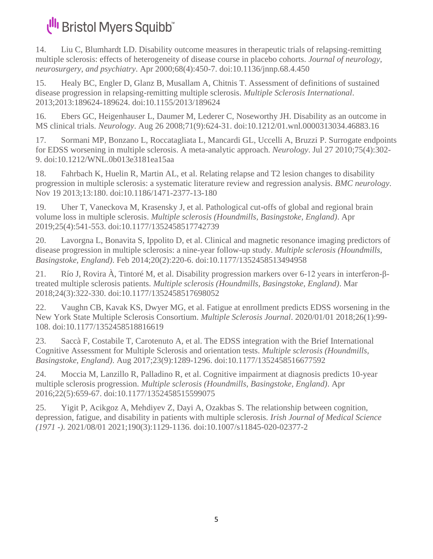14. Liu C, Blumhardt LD. Disability outcome measures in therapeutic trials of relapsing-remitting multiple sclerosis: effects of heterogeneity of disease course in placebo cohorts. *Journal of neurology, neurosurgery, and psychiatry*. Apr 2000;68(4):450-7. doi:10.1136/jnnp.68.4.450

15. Healy BC, Engler D, Glanz B, Musallam A, Chitnis T. Assessment of definitions of sustained disease progression in relapsing-remitting multiple sclerosis. *Multiple Sclerosis International*. 2013;2013:189624-189624. doi:10.1155/2013/189624

16. Ebers GC, Heigenhauser L, Daumer M, Lederer C, Noseworthy JH. Disability as an outcome in MS clinical trials. *Neurology*. Aug 26 2008;71(9):624-31. doi:10.1212/01.wnl.0000313034.46883.16

17. Sormani MP, Bonzano L, Roccatagliata L, Mancardi GL, Uccelli A, Bruzzi P. Surrogate endpoints for EDSS worsening in multiple sclerosis. A meta-analytic approach. *Neurology*. Jul 27 2010;75(4):302- 9. doi:10.1212/WNL.0b013e3181ea15aa

18. Fahrbach K, Huelin R, Martin AL, et al. Relating relapse and T2 lesion changes to disability progression in multiple sclerosis: a systematic literature review and regression analysis. *BMC neurology*. Nov 19 2013;13:180. doi:10.1186/1471-2377-13-180

19. Uher T, Vaneckova M, Krasensky J, et al. Pathological cut-offs of global and regional brain volume loss in multiple sclerosis. *Multiple sclerosis (Houndmills, Basingstoke, England)*. Apr 2019;25(4):541-553. doi:10.1177/1352458517742739

20. Lavorgna L, Bonavita S, Ippolito D, et al. Clinical and magnetic resonance imaging predictors of disease progression in multiple sclerosis: a nine-year follow-up study. *Multiple sclerosis (Houndmills, Basingstoke, England)*. Feb 2014;20(2):220-6. doi:10.1177/1352458513494958

21. Río J, Rovira À, Tintoré M, et al. Disability progression markers over 6-12 years in interferon-βtreated multiple sclerosis patients. *Multiple sclerosis (Houndmills, Basingstoke, England)*. Mar 2018;24(3):322-330. doi:10.1177/1352458517698052

22. Vaughn CB, Kavak KS, Dwyer MG, et al. Fatigue at enrollment predicts EDSS worsening in the New York State Multiple Sclerosis Consortium. *Multiple Sclerosis Journal*. 2020/01/01 2018;26(1):99- 108. doi:10.1177/1352458518816619

23. Saccà F, Costabile T, Carotenuto A, et al. The EDSS integration with the Brief International Cognitive Assessment for Multiple Sclerosis and orientation tests. *Multiple sclerosis (Houndmills, Basingstoke, England)*. Aug 2017;23(9):1289-1296. doi:10.1177/1352458516677592

24. Moccia M, Lanzillo R, Palladino R, et al. Cognitive impairment at diagnosis predicts 10-year multiple sclerosis progression. *Multiple sclerosis (Houndmills, Basingstoke, England)*. Apr 2016;22(5):659-67. doi:10.1177/1352458515599075

25. Yigit P, Acikgoz A, Mehdiyev Z, Dayi A, Ozakbas S. The relationship between cognition, depression, fatigue, and disability in patients with multiple sclerosis. *Irish Journal of Medical Science (1971 -)*. 2021/08/01 2021;190(3):1129-1136. doi:10.1007/s11845-020-02377-2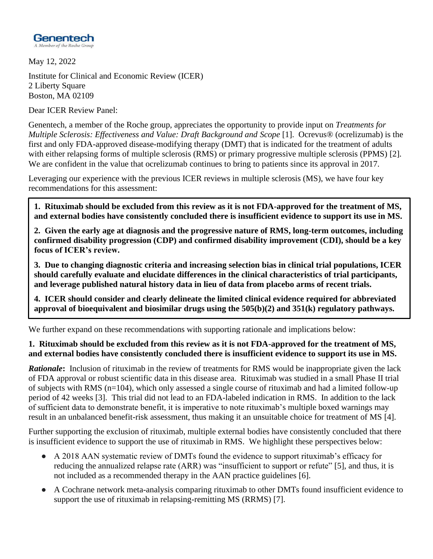

May 12, 2022

Institute for Clinical and Economic Review (ICER) 2 Liberty Square Boston, MA 02109

Dear ICER Review Panel:

Genentech, a member of the Roche group, appreciates the opportunity to provide input on *Treatments for Multiple Sclerosis: Effectiveness and Value: Draft Background and Scope* [1]. Ocrevus® (ocrelizumab) is the first and only FDA-approved disease-modifying therapy (DMT) that is indicated for the treatment of adults with either relapsing forms of multiple sclerosis (RMS) or primary progressive multiple sclerosis (PPMS) [2]. We are confident in the value that ocrelizumab continues to bring to patients since its approval in 2017.

Leveraging our experience with the previous ICER reviews in multiple sclerosis (MS), we have four key recommendations for this assessment:

**1. Rituximab should be excluded from this review as it is not FDA-approved for the treatment of MS, and external bodies have consistently concluded there is insufficient evidence to support its use in MS.**

**2. Given the early age at diagnosis and the progressive nature of RMS, long-term outcomes, including confirmed disability progression (CDP) and confirmed disability improvement (CDI), should be a key focus of ICER's review.**

**3. Due to changing diagnostic criteria and increasing selection bias in clinical trial populations, ICER should carefully evaluate and elucidate differences in the clinical characteristics of trial participants, and leverage published natural history data in lieu of data from placebo arms of recent trials.**

**4. ICER should consider and clearly delineate the limited clinical evidence required for abbreviated approval of bioequivalent and biosimilar drugs using the 505(b)(2) and 351(k) regulatory pathways.**

We further expand on these recommendations with supporting rationale and implications below:

#### **1. Rituximab should be excluded from this review as it is not FDA-approved for the treatment of MS, and external bodies have consistently concluded there is insufficient evidence to support its use in MS.**

*Rationale***:** Inclusion of rituximab in the review of treatments for RMS would be inappropriate given the lack of FDA approval or robust scientific data in this disease area. Rituximab was studied in a small Phase II trial of subjects with RMS (n=104), which only assessed a single course of rituximab and had a limited follow-up period of 42 weeks [3]. This trial did not lead to an FDA-labeled indication in RMS. In addition to the lack of sufficient data to demonstrate benefit, it is imperative to note rituximab's multiple boxed warnings may result in an unbalanced benefit-risk assessment, thus making it an unsuitable choice for treatment of MS [4].

Further supporting the exclusion of rituximab, multiple external bodies have consistently concluded that there is insufficient evidence to support the use of rituximab in RMS. We highlight these perspectives below:

- A 2018 AAN systematic review of DMTs found the evidence to support rituximab's efficacy for reducing the annualized relapse rate (ARR) was "insufficient to support or refute" [5], and thus, it is not included as a recommended therapy in the AAN practice guidelines [6].
- A Cochrane network meta-analysis comparing rituximab to other DMTs found insufficient evidence to support the use of rituximab in relapsing-remitting MS (RRMS) [7].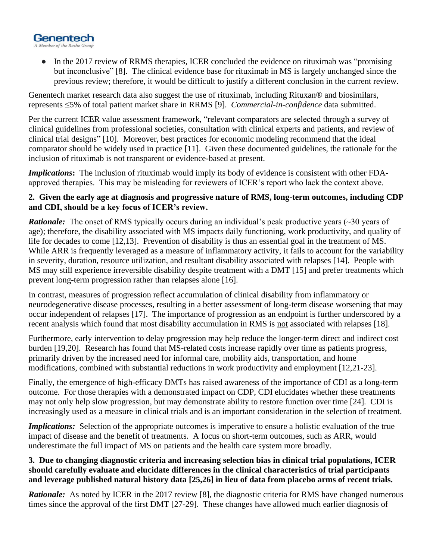

• In the 2017 review of RRMS therapies, ICER concluded the evidence on rituximab was "promising" but inconclusive" [8]. The clinical evidence base for rituximab in MS is largely unchanged since the previous review; therefore, it would be difficult to justify a different conclusion in the current review.

Genentech market research data also suggest the use of rituximab, including Rituxan® and biosimilars, represents ≤5% of total patient market share in RRMS [9]. *Commercial-in-confidence* data submitted.

Per the current ICER value assessment framework, "relevant comparators are selected through a survey of clinical guidelines from professional societies, consultation with clinical experts and patients, and review of clinical trial designs" [10]. Moreover, best practices for economic modeling recommend that the ideal comparator should be widely used in practice [11]. Given these documented guidelines, the rationale for the inclusion of rituximab is not transparent or evidence-based at present.

*Implications***:** The inclusion of rituximab would imply its body of evidence is consistent with other FDAapproved therapies. This may be misleading for reviewers of ICER's report who lack the context above.

#### **2. Given the early age at diagnosis and progressive nature of RMS, long-term outcomes, including CDP and CDI, should be a key focus of ICER's review.**

*Rationale:* The onset of RMS typically occurs during an individual's peak productive years (~30 years of age); therefore, the disability associated with MS impacts daily functioning, work productivity, and quality of life for decades to come [12,13]. Prevention of disability is thus an essential goal in the treatment of MS. While ARR is frequently leveraged as a measure of inflammatory activity, it fails to account for the variability in severity, duration, resource utilization, and resultant disability associated with relapses [14]. People with MS may still experience irreversible disability despite treatment with a DMT [15] and prefer treatments which prevent long-term progression rather than relapses alone [16].

In contrast, measures of progression reflect accumulation of clinical disability from inflammatory or neurodegenerative disease processes, resulting in a better assessment of long-term disease worsening that may occur independent of relapses [17]. The importance of progression as an endpoint is further underscored by a recent analysis which found that most disability accumulation in RMS is not associated with relapses [18].

Furthermore, early intervention to delay progression may help reduce the longer-term direct and indirect cost burden [19,20]. Research has found that MS-related costs increase rapidly over time as patients progress, primarily driven by the increased need for informal care, mobility aids, transportation, and home modifications, combined with substantial reductions in work productivity and employment [12,21-23].

Finally, the emergence of high-efficacy DMTs has raised awareness of the importance of CDI as a long-term outcome. For those therapies with a demonstrated impact on CDP, CDI elucidates whether these treatments may not only help slow progression, but may demonstrate ability to restore function over time [24]. CDI is increasingly used as a measure in clinical trials and is an important consideration in the selection of treatment.

*Implications:* Selection of the appropriate outcomes is imperative to ensure a holistic evaluation of the true impact of disease and the benefit of treatments. A focus on short-term outcomes, such as ARR, would underestimate the full impact of MS on patients and the health care system more broadly.

#### **3. Due to changing diagnostic criteria and increasing selection bias in clinical trial populations, ICER should carefully evaluate and elucidate differences in the clinical characteristics of trial participants and leverage published natural history data [25,26] in lieu of data from placebo arms of recent trials.**

*Rationale:* As noted by ICER in the 2017 review [8], the diagnostic criteria for RMS have changed numerous times since the approval of the first DMT [27-29]. These changes have allowed much earlier diagnosis of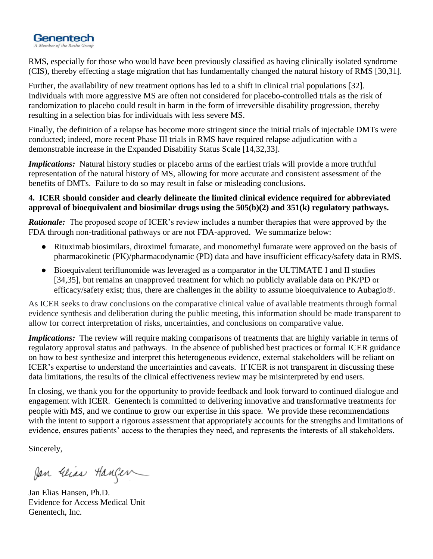

RMS, especially for those who would have been previously classified as having clinically isolated syndrome (CIS), thereby effecting a stage migration that has fundamentally changed the natural history of RMS [30,31].

Further, the availability of new treatment options has led to a shift in clinical trial populations [32]. Individuals with more aggressive MS are often not considered for placebo-controlled trials as the risk of randomization to placebo could result in harm in the form of irreversible disability progression, thereby resulting in a selection bias for individuals with less severe MS.

Finally, the definition of a relapse has become more stringent since the initial trials of injectable DMTs were conducted; indeed, more recent Phase III trials in RMS have required relapse adjudication with a demonstrable increase in the Expanded Disability Status Scale [14,32,33].

*Implications:* Natural history studies or placebo arms of the earliest trials will provide a more truthful representation of the natural history of MS, allowing for more accurate and consistent assessment of the benefits of DMTs. Failure to do so may result in false or misleading conclusions.

#### **4. ICER should consider and clearly delineate the limited clinical evidence required for abbreviated approval of bioequivalent and biosimilar drugs using the 505(b)(2) and 351(k) regulatory pathways.**

*Rationale:* The proposed scope of ICER's review includes a number therapies that were approved by the FDA through non-traditional pathways or are not FDA-approved. We summarize below:

- Rituximab biosimilars, diroximel fumarate, and monomethyl fumarate were approved on the basis of pharmacokinetic (PK)/pharmacodynamic (PD) data and have insufficient efficacy/safety data in RMS.
- Bioequivalent teriflunomide was leveraged as a comparator in the ULTIMATE I and II studies [34,35], but remains an unapproved treatment for which no publicly available data on PK/PD or efficacy/safety exist; thus, there are challenges in the ability to assume bioequivalence to Aubagio®.

As ICER seeks to draw conclusions on the comparative clinical value of available treatments through formal evidence synthesis and deliberation during the public meeting, this information should be made transparent to allow for correct interpretation of risks, uncertainties, and conclusions on comparative value.

*Implications:* The review will require making comparisons of treatments that are highly variable in terms of regulatory approval status and pathways. In the absence of published best practices or formal ICER guidance on how to best synthesize and interpret this heterogeneous evidence, external stakeholders will be reliant on ICER's expertise to understand the uncertainties and caveats. If ICER is not transparent in discussing these data limitations, the results of the clinical effectiveness review may be misinterpreted by end users.

In closing, we thank you for the opportunity to provide feedback and look forward to continued dialogue and engagement with ICER. Genentech is committed to delivering innovative and transformative treatments for people with MS, and we continue to grow our expertise in this space. We provide these recommendations with the intent to support a rigorous assessment that appropriately accounts for the strengths and limitations of evidence, ensures patients' access to the therapies they need, and represents the interests of all stakeholders.

Sincerely,

Jan Glias Hanger

Jan Elias Hansen, Ph.D. Evidence for Access Medical Unit Genentech, Inc.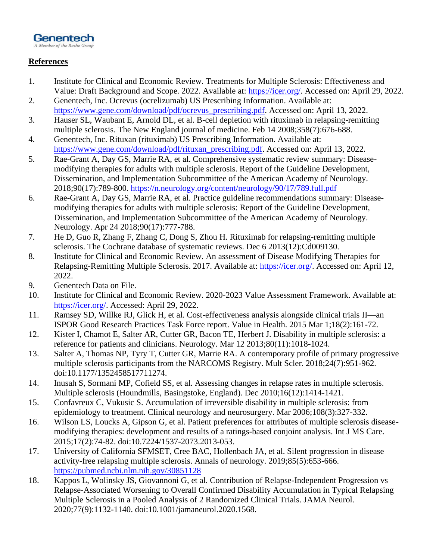

#### **References**

- 1. Institute for Clinical and Economic Review. Treatments for Multiple Sclerosis: Effectiveness and Value: Draft Background and Scope. 2022. Available at: [https://icer.org/.](https://icer.org/) Accessed on: April 29, 2022.
- 2. Genentech, Inc. Ocrevus (ocrelizumab) US Prescribing Information. Available at: [https://www.gene.com/download/pdf/ocrevus\\_prescribing.pdf.](https://www.gene.com/download/pdf/ocrevus_prescribing.pdf) Accessed on: April 13, 2022.
- 3. Hauser SL, Waubant E, Arnold DL, et al. B-cell depletion with rituximab in relapsing-remitting multiple sclerosis. The New England journal of medicine. Feb 14 2008;358(7):676-688.
- 4. Genentech, Inc. Rituxan (rituximab) US Prescribing Information. Available at: [https://www.gene.com/download/pdf/rituxan\\_prescribing.pdf.](https://www.gene.com/download/pdf/rituxan_prescribing.pdf) Accessed on: April 13, 2022.
- 5. Rae-Grant A, Day GS, Marrie RA, et al. Comprehensive systematic review summary: Diseasemodifying therapies for adults with multiple sclerosis. Report of the Guideline Development, Dissemination, and Implementation Subcommittee of the American Academy of Neurology. 2018;90(17):789-800.<https://n.neurology.org/content/neurology/90/17/789.full.pdf>
- 6. Rae-Grant A, Day GS, Marrie RA, et al. Practice guideline recommendations summary: Diseasemodifying therapies for adults with multiple sclerosis: Report of the Guideline Development, Dissemination, and Implementation Subcommittee of the American Academy of Neurology. Neurology. Apr 24 2018;90(17):777-788.
- 7. He D, Guo R, Zhang F, Zhang C, Dong S, Zhou H. Rituximab for relapsing-remitting multiple sclerosis. The Cochrane database of systematic reviews. Dec 6 2013(12):Cd009130.
- 8. Institute for Clinical and Economic Review. An assessment of Disease Modifying Therapies for Relapsing-Remitting Multiple Sclerosis. 2017. Available at: [https://icer.org/.](https://icer.org/) Accessed on: April 12, 2022.
- 9. Genentech Data on File.
- 10. Institute for Clinical and Economic Review. 2020-2023 Value Assessment Framework. Available at: [https://icer.org/.](https://icer.org/) Accessed: April 29, 2022.
- 11. Ramsey SD, Willke RJ, Glick H, et al. Cost-effectiveness analysis alongside clinical trials II—an ISPOR Good Research Practices Task Force report. Value in Health. 2015 Mar 1;18(2):161-72.
- 12. Kister I, Chamot E, Salter AR, Cutter GR, Bacon TE, Herbert J. Disability in multiple sclerosis: a reference for patients and clinicians. Neurology. Mar 12 2013;80(11):1018-1024.
- 13. Salter A, Thomas NP, Tyry T, Cutter GR, Marrie RA. A contemporary profile of primary progressive multiple sclerosis participants from the NARCOMS Registry. Mult Scler. 2018;24(7):951-962. doi:10.1177/1352458517711274.
- 14. Inusah S, Sormani MP, Cofield SS, et al. Assessing changes in relapse rates in multiple sclerosis. Multiple sclerosis (Houndmills, Basingstoke, England). Dec 2010;16(12):1414-1421.
- 15. Confavreux C, Vukusic S. Accumulation of irreversible disability in multiple sclerosis: from epidemiology to treatment. Clinical neurology and neurosurgery. Mar 2006;108(3):327-332.
- 16. Wilson LS, Loucks A, Gipson G, et al. Patient preferences for attributes of multiple sclerosis diseasemodifying therapies: development and results of a ratings-based conjoint analysis. Int J MS Care. 2015;17(2):74-82. doi:10.7224/1537-2073.2013-053.
- 17. University of California SFMSET, Cree BAC, Hollenbach JA, et al. Silent progression in disease activity-free relapsing multiple sclerosis. Annals of neurology. 2019;85(5):653-666. <https://pubmed.ncbi.nlm.nih.gov/30851128>
- 18. Kappos L, Wolinsky JS, Giovannoni G, et al. Contribution of Relapse-Independent Progression vs Relapse-Associated Worsening to Overall Confirmed Disability Accumulation in Typical Relapsing Multiple Sclerosis in a Pooled Analysis of 2 Randomized Clinical Trials. JAMA Neurol. 2020;77(9):1132-1140. doi:10.1001/jamaneurol.2020.1568.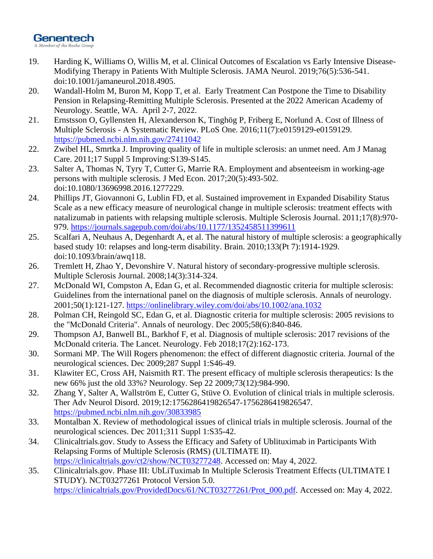### Genentech

A Member of the Roche Group

- 19. Harding K, Williams O, Willis M, et al. Clinical Outcomes of Escalation vs Early Intensive Disease-Modifying Therapy in Patients With Multiple Sclerosis. JAMA Neurol. 2019;76(5):536-541. doi:10.1001/jamaneurol.2018.4905.
- 20. Wandall-Holm M, Buron M, Kopp T, et al. Early Treatment Can Postpone the Time to Disability Pension in Relapsing-Remitting Multiple Sclerosis. Presented at the 2022 American Academy of Neurology. Seattle, WA. April 2-7, 2022.
- 21. Ernstsson O, Gyllensten H, Alexanderson K, Tinghög P, Friberg E, Norlund A. Cost of Illness of Multiple Sclerosis - A Systematic Review. PLoS One. 2016;11(7):e0159129-e0159129. <https://pubmed.ncbi.nlm.nih.gov/27411042>
- 22. Zwibel HL, Smrtka J. Improving quality of life in multiple sclerosis: an unmet need. Am J Manag Care. 2011;17 Suppl 5 Improving:S139-S145.
- 23. Salter A, Thomas N, Tyry T, Cutter G, Marrie RA. Employment and absenteeism in working-age persons with multiple sclerosis. J Med Econ. 2017;20(5):493-502. doi:10.1080/13696998.2016.1277229.
- 24. Phillips JT, Giovannoni G, Lublin FD, et al. Sustained improvement in Expanded Disability Status Scale as a new efficacy measure of neurological change in multiple sclerosis: treatment effects with natalizumab in patients with relapsing multiple sclerosis. Multiple Sclerosis Journal. 2011;17(8):970- 979.<https://journals.sagepub.com/doi/abs/10.1177/1352458511399611>
- 25. Scalfari A, Neuhaus A, Degenhardt A, et al. The natural history of multiple sclerosis: a geographically based study 10: relapses and long-term disability. Brain. 2010;133(Pt 7):1914-1929. doi:10.1093/brain/awq118.
- 26. Tremlett H, Zhao Y, Devonshire V. Natural history of secondary-progressive multiple sclerosis. Multiple Sclerosis Journal. 2008;14(3):314-324.
- 27. McDonald WI, Compston A, Edan G, et al. Recommended diagnostic criteria for multiple sclerosis: Guidelines from the international panel on the diagnosis of multiple sclerosis. Annals of neurology. 2001;50(1):121-127.<https://onlinelibrary.wiley.com/doi/abs/10.1002/ana.1032>
- 28. Polman CH, Reingold SC, Edan G, et al. Diagnostic criteria for multiple sclerosis: 2005 revisions to the "McDonald Criteria". Annals of neurology. Dec 2005;58(6):840-846.
- 29. Thompson AJ, Banwell BL, Barkhof F, et al. Diagnosis of multiple sclerosis: 2017 revisions of the McDonald criteria. The Lancet. Neurology. Feb 2018;17(2):162-173.
- 30. Sormani MP. The Will Rogers phenomenon: the effect of different diagnostic criteria. Journal of the neurological sciences. Dec 2009;287 Suppl 1:S46-49.
- 31. Klawiter EC, Cross AH, Naismith RT. The present efficacy of multiple sclerosis therapeutics: Is the new 66% just the old 33%? Neurology. Sep 22 2009;73(12):984-990.
- 32. Zhang Y, Salter A, Wallström E, Cutter G, Stüve O. Evolution of clinical trials in multiple sclerosis. Ther Adv Neurol Disord. 2019;12:1756286419826547-1756286419826547. <https://pubmed.ncbi.nlm.nih.gov/30833985>
- 33. Montalban X. Review of methodological issues of clinical trials in multiple sclerosis. Journal of the neurological sciences. Dec 2011;311 Suppl 1:S35-42.
- 34. Clinicaltrials.gov. Study to Assess the Efficacy and Safety of Ublituximab in Participants With Relapsing Forms of Multiple Sclerosis (RMS) (ULTIMATE II). [https://clinicaltrials.gov/ct2/show/NCT03277248.](https://clinicaltrials.gov/ct2/show/NCT03277248) Accessed on: May 4, 2022.
- 35. Clinicaltrials.gov. Phase III: UbLiTuximab In Multiple Sclerosis Treatment Effects (ULTIMATE I STUDY). NCT03277261 Protocol Version 5.0. [https://clinicaltrials.gov/ProvidedDocs/61/NCT03277261/Prot\\_000.pdf.](https://clinicaltrials.gov/ProvidedDocs/61/NCT03277261/Prot_000.pdf) Accessed on: May 4, 2022.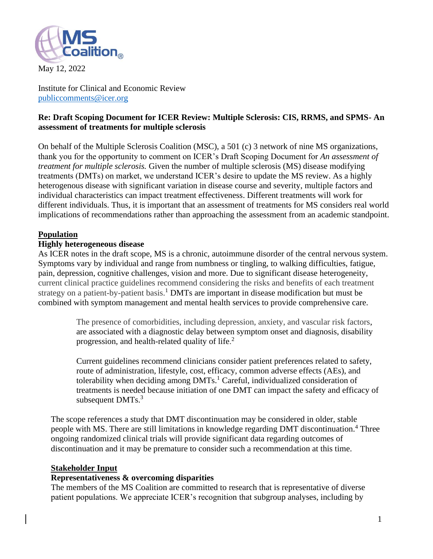

May 12, 2022

Institute for Clinical and Economic Review [publiccomments@icer.org](mailto:publiccomments@icer.org)

#### **Re: Draft Scoping Document for ICER Review: Multiple Sclerosis: CIS, RRMS, and SPMS- An assessment of treatments for multiple sclerosis**

On behalf of the Multiple Sclerosis Coalition (MSC), a 501 (c) 3 network of nine MS organizations, thank you for the opportunity to comment on ICER's Draft Scoping Document for *An assessment of treatment for multiple sclerosis.* Given the number of multiple sclerosis (MS) disease modifying treatments (DMTs) on market, we understand ICER's desire to update the MS review. As a highly heterogenous disease with significant variation in disease course and severity, multiple factors and individual characteristics can impact treatment effectiveness. Different treatments will work for different individuals. Thus, it is important that an assessment of treatments for MS considers real world implications of recommendations rather than approaching the assessment from an academic standpoint.

#### **Population**

#### **Highly heterogeneous disease**

As ICER notes in the draft scope, MS is a chronic, autoimmune disorder of the central nervous system. Symptoms vary by individual and range from numbness or tingling, to walking difficulties, fatigue, pain, depression, cognitive challenges, vision and more. Due to significant disease heterogeneity, current clinical practice guidelines recommend considering the risks and benefits of each treatment strategy on a patient-by-patient basis.<sup>1</sup> DMTs are important in disease modification but must be combined with symptom management and mental health services to provide comprehensive care.

> The presence of comorbidities, including depression, anxiety, and vascular risk factors, are associated with a diagnostic delay between symptom onset and diagnosis, disability progression, and health-related quality of life.<sup>2</sup>

Current guidelines recommend clinicians consider patient preferences related to safety, route of administration, lifestyle, cost, efficacy, common adverse effects (AEs), and tolerability when deciding among  $DMTs<sup>1</sup>$  Careful, individualized consideration of treatments is needed because initiation of one DMT can impact the safety and efficacy of subsequent DMTs.<sup>3</sup>

The scope references a study that DMT discontinuation may be considered in older, stable people with MS. There are still limitations in knowledge regarding DMT discontinuation.<sup>4</sup> Three ongoing randomized clinical trials will provide significant data regarding outcomes of discontinuation and it may be premature to consider such a recommendation at this time.

#### **Stakeholder Input**

#### **Representativeness & overcoming disparities**

The members of the MS Coalition are committed to research that is representative of diverse patient populations. We appreciate ICER's recognition that subgroup analyses, including by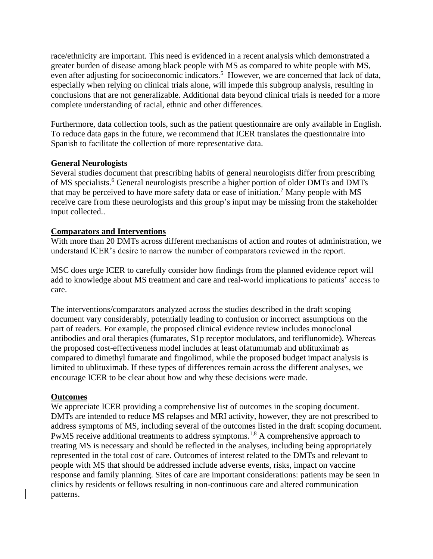race/ethnicity are important. This need is evidenced in a recent analysis which demonstrated a greater burden of disease among black people with MS as compared to white people with MS, even after adjusting for socioeconomic indicators.<sup>5</sup> However, we are concerned that lack of data, especially when relying on clinical trials alone, will impede this subgroup analysis, resulting in conclusions that are not generalizable. Additional data beyond clinical trials is needed for a more complete understanding of racial, ethnic and other differences.

Furthermore, data collection tools, such as the patient questionnaire are only available in English. To reduce data gaps in the future, we recommend that ICER translates the questionnaire into Spanish to facilitate the collection of more representative data.

#### **General Neurologists**

Several studies document that prescribing habits of general neurologists differ from prescribing of MS specialists.<sup>6</sup> General neurologists prescribe a higher portion of older DMTs and DMTs that may be perceived to have more safety data or ease of initiation.<sup>7</sup> Many people with MS receive care from these neurologists and this group's input may be missing from the stakeholder input collected..

#### **Comparators and Interventions**

With more than 20 DMTs across different mechanisms of action and routes of administration, we understand ICER's desire to narrow the number of comparators reviewed in the report.

MSC does urge ICER to carefully consider how findings from the planned evidence report will add to knowledge about MS treatment and care and real-world implications to patients' access to care.

The interventions/comparators analyzed across the studies described in the draft scoping document vary considerably, potentially leading to confusion or incorrect assumptions on the part of readers. For example, the proposed clinical evidence review includes monoclonal antibodies and oral therapies (fumarates, S1p receptor modulators, and teriflunomide). Whereas the proposed cost-effectiveness model includes at least ofatumumab and ublituximab as compared to dimethyl fumarate and fingolimod, while the proposed budget impact analysis is limited to ublituximab. If these types of differences remain across the different analyses, we encourage ICER to be clear about how and why these decisions were made.

#### **Outcomes**

We appreciate ICER providing a comprehensive list of outcomes in the scoping document. DMTs are intended to reduce MS relapses and MRI activity, however, they are not prescribed to address symptoms of MS, including several of the outcomes listed in the draft scoping document. PwMS receive additional treatments to address symptoms.<sup>1,8</sup> A comprehensive approach to treating MS is necessary and should be reflected in the analyses, including being appropriately represented in the total cost of care. Outcomes of interest related to the DMTs and relevant to people with MS that should be addressed include adverse events, risks, impact on vaccine response and family planning. Sites of care are important considerations: patients may be seen in clinics by residents or fellows resulting in non-continuous care and altered communication patterns.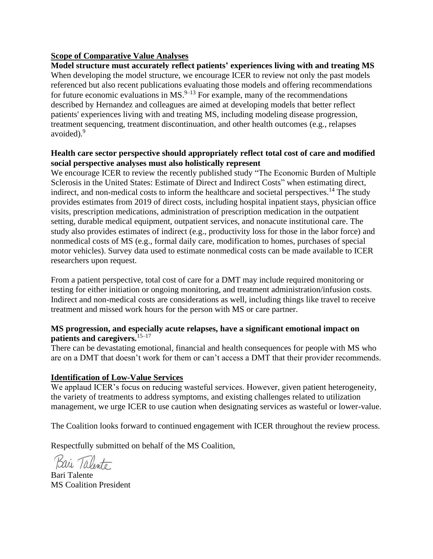#### **Scope of Comparative Value Analyses**

**Model structure must accurately reflect patients' experiences living with and treating MS**  When developing the model structure, we encourage ICER to review not only the past models referenced but also recent publications evaluating those models and offering recommendations for future economic evaluations in  $MS.<sup>9-13</sup>$  For example, many of the recommendations described by Hernandez and colleagues are aimed at developing models that better reflect patients' experiences living with and treating MS, including modeling disease progression, treatment sequencing, treatment discontinuation, and other health outcomes (e.g., relapses avoided). 9

#### **Health care sector perspective should appropriately reflect total cost of care and modified social perspective analyses must also holistically represent**

We encourage ICER to review the recently published study "The Economic Burden of Multiple Sclerosis in the United States: Estimate of Direct and Indirect Costs" when estimating direct, indirect, and non-medical costs to inform the healthcare and societal perspectives.<sup>14</sup> The study provides estimates from 2019 of direct costs, including hospital inpatient stays, physician office visits, prescription medications, administration of prescription medication in the outpatient setting, durable medical equipment, outpatient services, and nonacute institutional care. The study also provides estimates of indirect (e.g., productivity loss for those in the labor force) and nonmedical costs of MS (e.g., formal daily care, modification to homes, purchases of special motor vehicles). Survey data used to estimate nonmedical costs can be made available to ICER researchers upon request.

From a patient perspective, total cost of care for a DMT may include required monitoring or testing for either initiation or ongoing monitoring, and treatment administration/infusion costs. Indirect and non-medical costs are considerations as well, including things like travel to receive treatment and missed work hours for the person with MS or care partner.

#### **MS progression, and especially acute relapses, have a significant emotional impact on patients and caregivers.** 15–17

There can be devastating emotional, financial and health consequences for people with MS who are on a DMT that doesn't work for them or can't access a DMT that their provider recommends.

#### **Identification of Low-Value Services**

We applaud ICER's focus on reducing wasteful services. However, given patient heterogeneity, the variety of treatments to address symptoms, and existing challenges related to utilization management, we urge ICER to use caution when designating services as wasteful or lower-value.

The Coalition looks forward to continued engagement with ICER throughout the review process.

Respectfully submitted on behalf of the MS Coalition,

Kari Taberto

Bari Talente MS Coalition President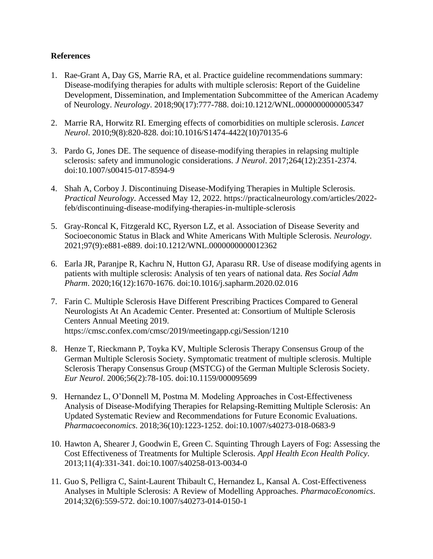#### **References**

- 1. Rae-Grant A, Day GS, Marrie RA, et al. Practice guideline recommendations summary: Disease-modifying therapies for adults with multiple sclerosis: Report of the Guideline Development, Dissemination, and Implementation Subcommittee of the American Academy of Neurology. *Neurology*. 2018;90(17):777-788. doi:10.1212/WNL.0000000000005347
- 2. Marrie RA, Horwitz RI. Emerging effects of comorbidities on multiple sclerosis. *Lancet Neurol*. 2010;9(8):820-828. doi:10.1016/S1474-4422(10)70135-6
- 3. Pardo G, Jones DE. The sequence of disease-modifying therapies in relapsing multiple sclerosis: safety and immunologic considerations. *J Neurol*. 2017;264(12):2351-2374. doi:10.1007/s00415-017-8594-9
- 4. Shah A, Corboy J. Discontinuing Disease-Modifying Therapies in Multiple Sclerosis. *Practical Neurology*. Accessed May 12, 2022. https://practicalneurology.com/articles/2022 feb/discontinuing-disease-modifying-therapies-in-multiple-sclerosis
- 5. Gray-Roncal K, Fitzgerald KC, Ryerson LZ, et al. Association of Disease Severity and Socioeconomic Status in Black and White Americans With Multiple Sclerosis. *Neurology*. 2021;97(9):e881-e889. doi:10.1212/WNL.0000000000012362
- 6. Earla JR, Paranjpe R, Kachru N, Hutton GJ, Aparasu RR. Use of disease modifying agents in patients with multiple sclerosis: Analysis of ten years of national data. *Res Social Adm Pharm*. 2020;16(12):1670-1676. doi:10.1016/j.sapharm.2020.02.016
- 7. Farin C. Multiple Sclerosis Have Different Prescribing Practices Compared to General Neurologists At An Academic Center. Presented at: Consortium of Multiple Sclerosis Centers Annual Meeting 2019. https://cmsc.confex.com/cmsc/2019/meetingapp.cgi/Session/1210
- 8. Henze T, Rieckmann P, Toyka KV, Multiple Sclerosis Therapy Consensus Group of the German Multiple Sclerosis Society. Symptomatic treatment of multiple sclerosis. Multiple Sclerosis Therapy Consensus Group (MSTCG) of the German Multiple Sclerosis Society. *Eur Neurol*. 2006;56(2):78-105. doi:10.1159/000095699
- 9. Hernandez L, O'Donnell M, Postma M. Modeling Approaches in Cost-Effectiveness Analysis of Disease-Modifying Therapies for Relapsing-Remitting Multiple Sclerosis: An Updated Systematic Review and Recommendations for Future Economic Evaluations. *Pharmacoeconomics*. 2018;36(10):1223-1252. doi:10.1007/s40273-018-0683-9
- 10. Hawton A, Shearer J, Goodwin E, Green C. Squinting Through Layers of Fog: Assessing the Cost Effectiveness of Treatments for Multiple Sclerosis. *Appl Health Econ Health Policy*. 2013;11(4):331-341. doi:10.1007/s40258-013-0034-0
- 11. Guo S, Pelligra C, Saint-Laurent Thibault C, Hernandez L, Kansal A. Cost-Effectiveness Analyses in Multiple Sclerosis: A Review of Modelling Approaches. *PharmacoEconomics*. 2014;32(6):559-572. doi:10.1007/s40273-014-0150-1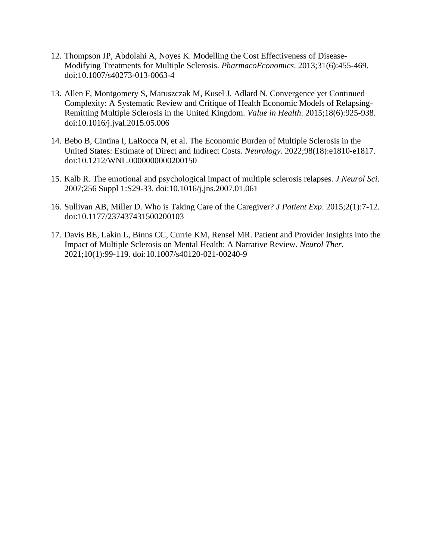- 12. Thompson JP, Abdolahi A, Noyes K. Modelling the Cost Effectiveness of Disease-Modifying Treatments for Multiple Sclerosis. *PharmacoEconomics*. 2013;31(6):455-469. doi:10.1007/s40273-013-0063-4
- 13. Allen F, Montgomery S, Maruszczak M, Kusel J, Adlard N. Convergence yet Continued Complexity: A Systematic Review and Critique of Health Economic Models of Relapsing-Remitting Multiple Sclerosis in the United Kingdom. *Value in Health*. 2015;18(6):925-938. doi:10.1016/j.jval.2015.05.006
- 14. Bebo B, Cintina I, LaRocca N, et al. The Economic Burden of Multiple Sclerosis in the United States: Estimate of Direct and Indirect Costs. *Neurology*. 2022;98(18):e1810-e1817. doi:10.1212/WNL.0000000000200150
- 15. Kalb R. The emotional and psychological impact of multiple sclerosis relapses. *J Neurol Sci*. 2007;256 Suppl 1:S29-33. doi:10.1016/j.jns.2007.01.061
- 16. Sullivan AB, Miller D. Who is Taking Care of the Caregiver? *J Patient Exp*. 2015;2(1):7-12. doi:10.1177/237437431500200103
- 17. Davis BE, Lakin L, Binns CC, Currie KM, Rensel MR. Patient and Provider Insights into the Impact of Multiple Sclerosis on Mental Health: A Narrative Review. *Neurol Ther*. 2021;10(1):99-119. doi:10.1007/s40120-021-00240-9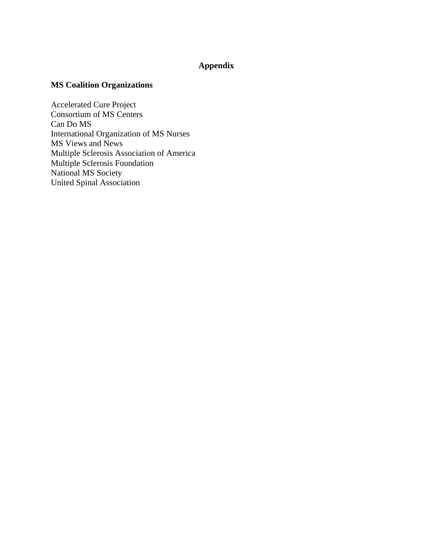#### **Appendix**

#### **MS Coalition Organizations**

Accelerated Cure Project Consortium of MS Centers Can Do MS International Organization of MS Nurses MS Views and News Multiple Sclerosis Association of America Multiple Sclerosis Foundation National MS Society United Spinal Association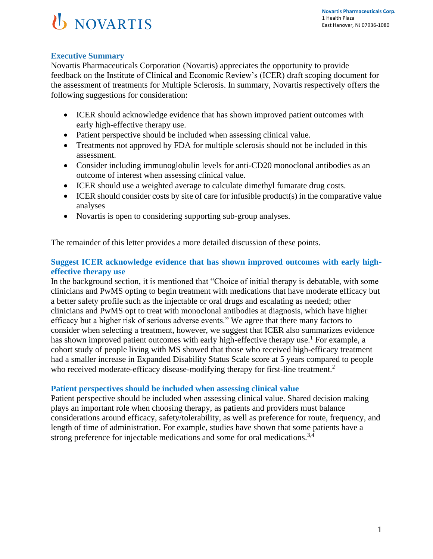## U NOVARTIS

#### **Executive Summary**

Novartis Pharmaceuticals Corporation (Novartis) appreciates the opportunity to provide feedback on the Institute of Clinical and Economic Review's (ICER) draft scoping document for the assessment of treatments for Multiple Sclerosis. In summary, Novartis respectively offers the following suggestions for consideration:

- ICER should acknowledge evidence that has shown improved patient outcomes with early high-effective therapy use.
- Patient perspective should be included when assessing clinical value.
- Treatments not approved by FDA for multiple sclerosis should not be included in this assessment.
- Consider including immunoglobulin levels for anti-CD20 monoclonal antibodies as an outcome of interest when assessing clinical value.
- ICER should use a weighted average to calculate dimethyl fumarate drug costs.
- ICER should consider costs by site of care for infusible product(s) in the comparative value analyses
- Novartis is open to considering supporting sub-group analyses.

The remainder of this letter provides a more detailed discussion of these points.

#### **Suggest ICER acknowledge evidence that has shown improved outcomes with early higheffective therapy use**

In the background section, it is mentioned that "Choice of initial therapy is debatable, with some clinicians and PwMS opting to begin treatment with medications that have moderate efficacy but a better safety profile such as the injectable or oral drugs and escalating as needed; other clinicians and PwMS opt to treat with monoclonal antibodies at diagnosis, which have higher efficacy but a higher risk of serious adverse events." We agree that there many factors to consider when selecting a treatment, however, we suggest that ICER also summarizes evidence has shown improved patient outcomes with early high-effective therapy use.<sup>1</sup> For example, a cohort study of people living with MS showed that those who received high-efficacy treatment had a smaller increase in Expanded Disability Status Scale score at 5 years compared to people who received moderate-efficacy disease-modifying therapy for first-line treatment.<sup>2</sup>

#### **Patient perspectives should be included when assessing clinical value**

Patient perspective should be included when assessing clinical value. Shared decision making plays an important role when choosing therapy, as patients and providers must balance considerations around efficacy, safety/tolerability, as well as preference for route, frequency, and length of time of administration. For example, studies have shown that some patients have a strong preference for injectable medications and some for oral medications.<sup>3,4</sup>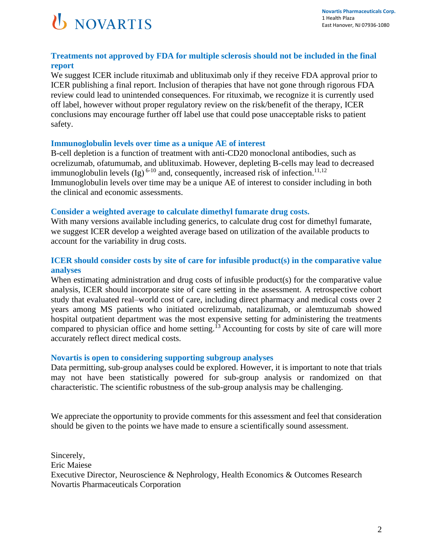

#### **Treatments not approved by FDA for multiple sclerosis should not be included in the final report**

We suggest ICER include rituximab and ublituximab only if they receive FDA approval prior to ICER publishing a final report. Inclusion of therapies that have not gone through rigorous FDA review could lead to unintended consequences. For rituximab, we recognize it is currently used off label, however without proper regulatory review on the risk/benefit of the therapy, ICER conclusions may encourage further off label use that could pose unacceptable risks to patient safety.

#### **Immunoglobulin levels over time as a unique AE of interest**

B-cell depletion is a function of treatment with anti-CD20 monoclonal antibodies, such as ocrelizumab, ofatumumab, and ublituximab. However, depleting B-cells may lead to decreased immunoglobulin levels (Ig)<sup>6-10</sup> and, consequently, increased risk of infection.<sup>11,12</sup> Immunoglobulin levels over time may be a unique AE of interest to consider including in both the clinical and economic assessments.

#### **Consider a weighted average to calculate dimethyl fumarate drug costs.**

With many versions available including generics, to calculate drug cost for dimethyl fumarate, we suggest ICER develop a weighted average based on utilization of the available products to account for the variability in drug costs.

#### **ICER should consider costs by site of care for infusible product(s) in the comparative value analyses**

When estimating administration and drug costs of infusible product(s) for the comparative value analysis, ICER should incorporate site of care setting in the assessment. A retrospective cohort study that evaluated real–world cost of care, including direct pharmacy and medical costs over 2 years among MS patients who initiated ocrelizumab, natalizumab, or alemtuzumab showed hospital outpatient department was the most expensive setting for administering the treatments compared to physician office and home setting.<sup>13</sup> Accounting for costs by site of care will more accurately reflect direct medical costs.

#### **Novartis is open to considering supporting subgroup analyses**

Data permitting, sub-group analyses could be explored. However, it is important to note that trials may not have been statistically powered for sub-group analysis or randomized on that characteristic. The scientific robustness of the sub-group analysis may be challenging.

We appreciate the opportunity to provide comments for this assessment and feel that consideration should be given to the points we have made to ensure a scientifically sound assessment.

Sincerely, Eric Maiese Executive Director, Neuroscience & Nephrology, Health Economics & Outcomes Research Novartis Pharmaceuticals Corporation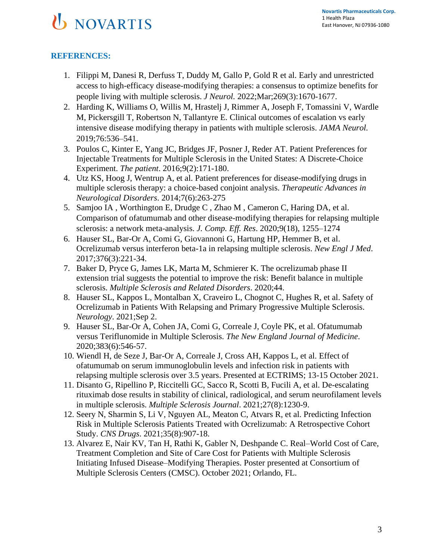# **U** NOVARTIS

#### **REFERENCES:**

- 1. Filippi M, Danesi R, Derfuss T, Duddy M, Gallo P, Gold R et al. Early and unrestricted access to high-efficacy disease-modifying therapies: a consensus to optimize benefits for people living with multiple sclerosis. *J Neurol.* 2022;Mar;269(3):1670-1677.
- 2. Harding K, Williams O, Willis M, Hrastelj J, Rimmer A, Joseph F, Tomassini V, Wardle M, Pickersgill T, Robertson N, Tallantyre E. Clinical outcomes of escalation vs early intensive disease modifying therapy in patients with multiple sclerosis. *JAMA Neurol.*  2019;76:536–541.
- 3. Poulos C, Kinter E, Yang JC, Bridges JF, Posner J, Reder AT. Patient Preferences for Injectable Treatments for Multiple Sclerosis in the United States: A Discrete-Choice Experiment. *The patient*. 2016;9(2):171-180.
- 4. Utz KS, Hoog J, Wentrup A, et al. Patient preferences for disease-modifying drugs in multiple sclerosis therapy: a choice-based conjoint analysis. *Therapeutic Advances in Neurological Disorders*. 2014;7(6):263-275
- 5. Samjoo IA , Worthington E, Drudge C , Zhao M , Cameron C, Haring DA, et al. Comparison of ofatumumab and other disease-modifying therapies for relapsing multiple sclerosis: a network meta-analysis. *J. Comp. Eff. Res*. 2020;9(18), 1255–1274
- 6. Hauser SL, Bar-Or A, Comi G, Giovannoni G, Hartung HP, Hemmer B, et al. Ocrelizumab versus interferon beta-1a in relapsing multiple sclerosis. *New Engl J Med*. 2017;376(3):221-34.
- 7. Baker D, Pryce G, James LK, Marta M, Schmierer K. The ocrelizumab phase II extension trial suggests the potential to improve the risk: Benefit balance in multiple sclerosis. *Multiple Sclerosis and Related Disorders*. 2020;44.
- 8. Hauser SL, Kappos L, Montalban X, Craveiro L, Chognot C, Hughes R, et al. Safety of Ocrelizumab in Patients With Relapsing and Primary Progressive Multiple Sclerosis. *Neurology*. 2021;Sep 2.
- 9. Hauser SL, Bar-Or A, Cohen JA, Comi G, Correale J, Coyle PK, et al. Ofatumumab versus Teriflunomide in Multiple Sclerosis. *The New England Journal of Medicine*. 2020;383(6):546-57.
- 10. Wiendl H, de Seze J, Bar-Or A, Correale J, Cross AH, Kappos L, et al. Effect of ofatumumab on serum immunoglobulin levels and infection risk in patients with relapsing multiple sclerosis over 3.5 years. Presented at ECTRIMS; 13-15 October 2021.
- 11. Disanto G, Ripellino P, Riccitelli GC, Sacco R, Scotti B, Fucili A, et al. De-escalating rituximab dose results in stability of clinical, radiological, and serum neurofilament levels in multiple sclerosis. *Multiple Sclerosis Journal*. 2021;27(8):1230-9.
- 12. Seery N, Sharmin S, Li V, Nguyen AL, Meaton C, Atvars R, et al. Predicting Infection Risk in Multiple Sclerosis Patients Treated with Ocrelizumab: A Retrospective Cohort Study. *CNS Drugs*. 2021;35(8):907-18.
- 13. Alvarez E, Nair KV, Tan H, Rathi K, Gabler N, Deshpande C. Real–World Cost of Care, Treatment Completion and Site of Care Cost for Patients with Multiple Sclerosis Initiating Infused Disease–Modifying Therapies. Poster presented at Consortium of Multiple Sclerosis Centers (CMSC). October 2021; Orlando, FL.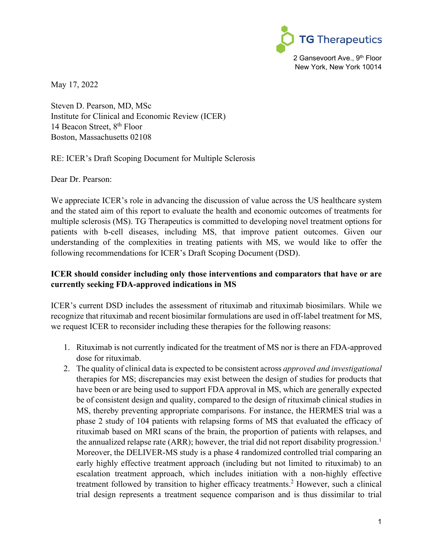

May 17, 2022

Steven D. Pearson, MD, MSc Institute for Clinical and Economic Review (ICER) 14 Beacon Street, 8<sup>th</sup> Floor Boston, Massachusetts 02108

RE: ICER's Draft Scoping Document for Multiple Sclerosis

Dear Dr. Pearson:

We appreciate ICER's role in advancing the discussion of value across the US healthcare system and the stated aim of this report to evaluate the health and economic outcomes of treatments for multiple sclerosis (MS). TG Therapeutics is committed to developing novel treatment options for patients with b-cell diseases, including MS, that improve patient outcomes. Given our understanding of the complexities in treating patients with MS, we would like to offer the following recommendations for ICER's Draft Scoping Document (DSD).

#### **ICER should consider including only those interventions and comparators that have or are currently seeking FDA-approved indications in MS**

ICER's current DSD includes the assessment of rituximab and rituximab biosimilars. While we recognize that rituximab and recent biosimilar formulations are used in off-label treatment for MS, we request ICER to reconsider including these therapies for the following reasons:

- 1. Rituximab is not currently indicated for the treatment of MS nor is there an FDA-approved dose for rituximab.
- 2. The quality of clinical data is expected to be consistent across *approved and investigational* therapies for MS; discrepancies may exist between the design of studies for products that have been or are being used to support FDA approval in MS, which are generally expected be of consistent design and quality, compared to the design of rituximab clinical studies in MS, thereby preventing appropriate comparisons. For instance, the HERMES trial was a phase 2 study of 104 patients with relapsing forms of MS that evaluated the efficacy of rituximab based on MRI scans of the brain, the proportion of patients with relapses, and the annualized relapse rate (ARR); however, the trial did not report disability progression.<sup>1</sup> Moreover, the DELIVER-MS study is a phase 4 randomized controlled trial comparing an early highly effective treatment approach (including but not limited to rituximab) to an escalation treatment approach, which includes initiation with a non-highly effective treatment followed by transition to higher efficacy treatments. <sup>2</sup> However, such a clinical trial design represents a treatment sequence comparison and is thus dissimilar to trial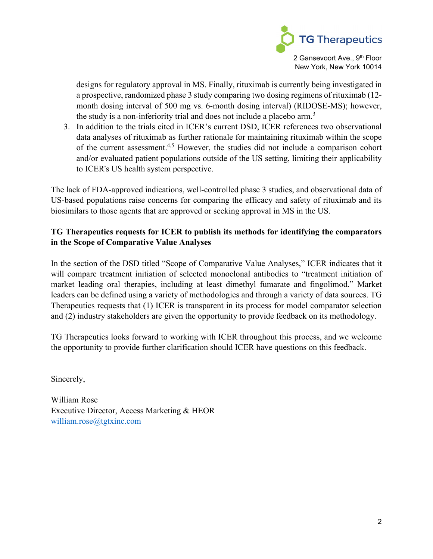

designs for regulatory approval in MS. Finally, rituximab is currently being investigated in a prospective, randomized phase 3 study comparing two dosing regimens of rituximab (12 month dosing interval of 500 mg vs. 6-month dosing interval) (RIDOSE-MS); however, the study is a non-inferiority trial and does not include a placebo arm.<sup>3</sup>

3. In addition to the trials cited in ICER's current DSD, ICER references two observational data analyses of rituximab as further rationale for maintaining rituximab within the scope of the current assessment.<sup>4,5</sup> However, the studies did not include a comparison cohort and/or evaluated patient populations outside of the US setting, limiting their applicability to ICER's US health system perspective.

The lack of FDA-approved indications, well-controlled phase 3 studies, and observational data of US-based populations raise concerns for comparing the efficacy and safety of rituximab and its biosimilars to those agents that are approved or seeking approval in MS in the US.

#### **TG Therapeutics requests for ICER to publish its methods for identifying the comparators in the Scope of Comparative Value Analyses**

In the section of the DSD titled "Scope of Comparative Value Analyses," ICER indicates that it will compare treatment initiation of selected monoclonal antibodies to "treatment initiation of market leading oral therapies, including at least dimethyl fumarate and fingolimod." Market leaders can be defined using a variety of methodologies and through a variety of data sources. TG Therapeutics requests that (1) ICER is transparent in its process for model comparator selection and (2) industry stakeholders are given the opportunity to provide feedback on its methodology.

TG Therapeutics looks forward to working with ICER throughout this process, and we welcome the opportunity to provide further clarification should ICER have questions on this feedback.

Sincerely,

William Rose Executive Director, Access Marketing & HEOR [william.rose@tgtxinc.com](mailto:william.rose@tgtxinc.com)